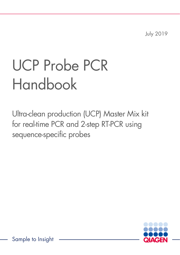July 2019

# UCP Probe PCR Handbook

Ultra-clean production (UCP) Master Mix kit for real-time PCR and 2-step RT-PCR using sequence-specific probes



Sample to Insight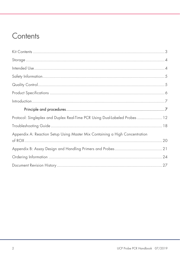# Contents

| Protocol: Singleplex and Duplex Real-Time PCR Using Dual-Labeled Probes  12 |  |
|-----------------------------------------------------------------------------|--|
|                                                                             |  |
| Appendix A: Reaction Setup Using Master Mix Containing a High Concentration |  |
|                                                                             |  |
|                                                                             |  |
|                                                                             |  |
|                                                                             |  |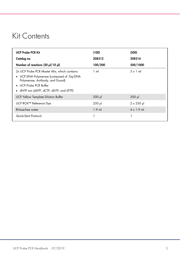# <span id="page-2-0"></span>Kit Contents

| <b>UCP Probe PCR Kit</b>                                                                                                                                                                           | (100)          | (500)             |
|----------------------------------------------------------------------------------------------------------------------------------------------------------------------------------------------------|----------------|-------------------|
| Catalog no.                                                                                                                                                                                        | 208212         | 208214            |
| Number of reactions (20 µl/10 µl)                                                                                                                                                                  | 100/200        | 500/1000          |
| 2x UCP Probe PCR Master Mix, which contains:<br>• UCP DNA Polymerase (composed of Tag DNA<br>Polymerase, Antibody, and Guard)<br>• UCP Probe PCR Buffer<br>• dNTP mix (dATP, dCTP, dGTP, and dTTP) | $1 \text{ ml}$ | $5 \times 1$ ml   |
| <b>UCP Yellow Template Dilution Buffer</b>                                                                                                                                                         | $200$ $\mu$    | $200$ $\mu$       |
| UCP ROX™ Reference Dye                                                                                                                                                                             | $250$ pl       | $2 \times 250$ pl |
| RNase-free water                                                                                                                                                                                   | $1.9$ ml       | $4 \times 1.9$ ml |
| Quick-Start Protocol                                                                                                                                                                               |                |                   |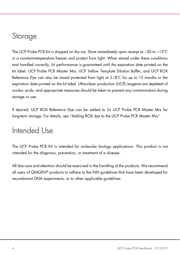# <span id="page-3-0"></span>**Storage**

The UCP Probe PCR Kit is shipped on dry ice. Store immediately upon receipt at −30 to −15ºC in a constant-temperature freezer and protect from light. When stored under these conditions and handled correctly, kit performance is guaranteed until the expiration date printed on the kit label. UCP Probe PCR Master Mix, UCP Yellow Template Dilution Buffer, and UCP ROX Reference Dye can also be stored protected from light at 2−8ºC for up to 12 months or the expiration date printed on the kit label. Ultra-clean production (UCP) reagents are depleted of nucleic acids, and appropriate measures should be taken to prevent any contamination during storage or use.

If desired, UCP ROX Reference Dye can be added to 2x UCP Probe PCR Master Mix for long-term storage. For details, see ["Adding ROX dye to the UCP Probe PCR Master Mix"](#page-9-0).

# <span id="page-3-1"></span>Intended Use

The UCP Probe PCR Kit is intended for molecular biology applications. This product is not intended for the diagnosis, prevention, or treatment of a disease.

All due care and attention should be exercised in the handling of the products. We recommend all users of QIAGEN® products to adhere to the NIH guidelines that have been developed for recombinant DNA experiments, or to other applicable guidelines.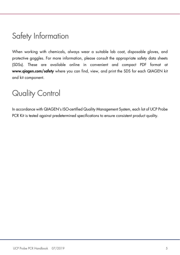# <span id="page-4-0"></span>Safety Information

When working with chemicals, always wear a suitable lab coat, disposable gloves, and protective goggles. For more information, please consult the appropriate safety data sheets (SDSs). These are available online in convenient and compact PDF format at [www.qiagen.com/safety](http://www.qiagen.com/safety) where you can find, view, and print the SDS for each QIAGEN kit and kit component.

# <span id="page-4-1"></span>Quality Control

In accordance with QIAGEN's ISO-certified Quality Management System, each lot of UCP Probe PCR Kit is tested against predetermined specifications to ensure consistent product quality.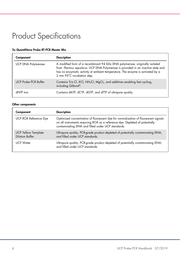# <span id="page-5-0"></span>Product Specifications

#### 2x QuantiNova Probe RT-PCR Master Mix

| Component                   | <b>Description</b>                                                                                                                                                                                                                                                              |
|-----------------------------|---------------------------------------------------------------------------------------------------------------------------------------------------------------------------------------------------------------------------------------------------------------------------------|
| <b>UCP DNA Polymerase</b>   | A modified form of a recombinant 94 kDa DNA polymerase, originally isolated<br>from Thermus aquaticus. UCP DNA Polymerase is provided in an inactive state and<br>has no enzymatic activity at ambient temperature. The enzyme is activated by a<br>2 min 95°C incubation step. |
| <b>UCP Probe PCR Buffer</b> | Contains Tris Cl, KCl, NH <sub>4</sub> Cl, MgCl <sub>2</sub> , and additives enabling fast cycling,<br>including Q-Bond®.                                                                                                                                                       |
| dNTP mix                    | Contains dATP, dCTP, dGTP, and dTTP of ultrapure quality.                                                                                                                                                                                                                       |

#### Other components

| Component                                            | <b>Description</b>                                                                                                                                                                                                       |
|------------------------------------------------------|--------------------------------------------------------------------------------------------------------------------------------------------------------------------------------------------------------------------------|
| UCP ROX Reference Dye                                | Optimized concentration of fluorescent dye for normalization of fluorescent signals<br>on all instruments requiring ROX as a reference dye. Depleted of potentially<br>contaminating DNA and filled under UCP standards. |
| <b>UCP Yellow Template</b><br><b>Dilution Buffer</b> | Ultrapure quality, PCR-grade product depleted of potentially contaminating DNA,<br>and filled under UCP standards.                                                                                                       |
| <b>UCP Water</b>                                     | Ultrapure quality, PCR-grade product depleted of potentially contaminating DNA,<br>and filled under UCP standards                                                                                                        |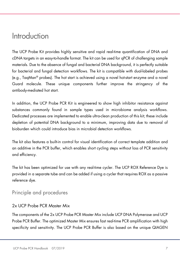### <span id="page-6-0"></span>Introduction

The UCP Probe Kit provides highly sensitive and rapid real-time quantification of DNA and cDNA targets in an easy-to-handle format. The kit can be used for qPCR of challenging sample materials. Due to the absence of fungal and bacterial DNA background, it is perfectly suitable for bacterial and fungal detection workflows. The kit is compatible with dual-labeled probes (e.g., TaqMan® probes). The hot start is achieved using a novel hot-start enzyme and a novel Guard molecule. These unique components further improve the stringency of the antibody-mediated hot start.

In addition, the UCP Probe PCR Kit is engineered to show high inhibitor resistance against substances commonly found in sample types used in microbiome analysis workflows. Dedicated processes are implemented to enable ultra-clean production of this kit; these include depletion of potential DNA background to a minimum, improving data due to removal of bioburden which could introduce bias in microbial detection workflows.

The kit also features a built-in control for visual identification of correct template addition and an additive in the PCR buffer, which enables short cycling steps without loss of PCR sensitivity and efficiency.

The kit has been optimized for use with any real-time cycler. The UCP ROX Reference Dye is provided in a separate tube and can be added if using a cycler that requires ROX as a passive reference dye.

### <span id="page-6-1"></span>Principle and procedures

### 2x UCP Probe PCR Master Mix

The components of the 2x UCP Probe PCR Master Mix include UCP DNA Polymerase and UCP Probe PCR Buffer. The optimized Master Mix ensures fast real-time PCR amplification with high specificity and sensitivity. The UCP Probe PCR Buffer is also based on the unique QIAGEN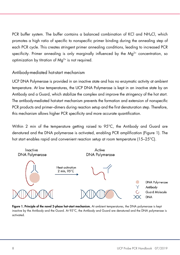PCR buffer system. The buffer contains a balanced combination of KCl and NH4Cl, which promotes a high ratio of specific to nonspecific primer binding during the annealing step of each PCR cycle. This creates stringent primer annealing conditions, leading to increased PCR specificity. Primer annealing is only marginally influenced by the  $Ma^{2+}$  concentration, so optimization by titration of Mg2+ is not required.

### Antibody-mediated hot-start mechanism

UCP DNA Polymerase is provided in an inactive state and has no enzymatic activity at ambient temperature. At low temperatures, the UCP DNA Polymerase is kept in an inactive state by an Antibody and a Guard, which stabilize the complex and improve the stringency of the hot start. The antibody-mediated hot-start mechanism prevents the formation and extension of nonspecific PCR products and primer–dimers during reaction setup and the first denaturation step. Therefore, this mechanism allows higher PCR specificity and more accurate quantification.

Within 2 min of the temperature getting raised to 95°C, the Antibody and Guard are denatured and the DNA polymerase is activated, enabling PCR amplification [\(Figure 1\)](#page-7-0). The hot start enables rapid and convenient reaction setup at room temperature (15–25°C).



<span id="page-7-0"></span>Figure 1. Principle of the novel 2-phase hot-start mechanism. At ambient temperatures, the DNA polymerase is kept inactive by the Antibody and the Guard. At 95°C, the Antibody and Guard are denatured and the DNA polymerase is activated.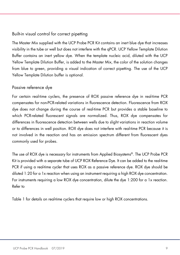### Built-in visual control for correct pipetting

The Master Mix supplied with the UCP Probe PCR Kit contains an inert blue dye that increases visibility in the tube or well but does not interfere with the qPCR. UCP Yellow Template Dilution Buffer contains an inert yellow dye. When the template nucleic acid, diluted with the UCP Yellow Template Dilution Buffer, is added to the Master Mix, the color of the solution changes from blue to green, providing a visual indication of correct pipetting. The use of the UCP Yellow Template Dilution buffer is optional.

### Passive reference dye

For certain real-time cyclers, the presence of ROX passive reference dye in real-time PCR compensates for non-PCR-related variations in fluorescence detection. Fluorescence from ROX dye does not change during the course of real-time PCR but provides a stable baseline to which PCR-related fluorescent signals are normalized. Thus, ROX dye compensates for differences in fluorescence detection between wells due to slight variations in reaction volume or to differences in well position. ROX dye does not interfere with real-time PCR because it is not involved in the reaction and has an emission spectrum different from fluorescent dyes commonly used for probes.

The use of ROX dye is necessary for instruments from Applied Biosystems®. The UCP Probe PCR Kit is provided with a separate tube of UCP ROX Reference Dye. It can be added to the real-time PCR if using a real-time cycler that uses ROX as a passive reference dye. ROX dye should be diluted 1:20 for a 1x reaction when using an instrument requiring a high ROX dye concentration. For instruments requiring a low ROX dye concentration, dilute the dye 1:200 for a 1x reaction. Refer to

<span id="page-8-0"></span>[Table 1](#page-8-0) for details on real-time cyclers that require low or high ROX concentrations.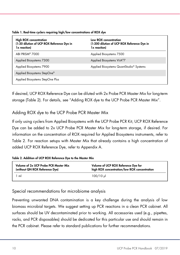| <b>High ROX concentration</b><br>(1:20 dilution of UCP ROX Reference Dye in<br>1x reaction) | Low ROX concentration<br>(1:200 dilution of UCP ROX Reference Dye in<br>1x reaction) |
|---------------------------------------------------------------------------------------------|--------------------------------------------------------------------------------------|
| ABI PRISM <sup>®</sup> 7000                                                                 | Applied Biosystems 7500                                                              |
| Applied Biosystems 7300                                                                     | Applied Biosystems ViiA®7                                                            |
| Applied Biosystems 7900                                                                     | Applied Biosystems QuantStudio <sup>®</sup> Systems                                  |
| Applied Biosystems StepOne®                                                                 |                                                                                      |
| Applied Biosystems StepOne Plus                                                             |                                                                                      |

Table 1. Real-time cyclers requiring high/low concentrations of ROX dye

If desired, UCP ROX Reference Dye can be diluted with 2x Probe PCR Master Mix for long-term storage [\(Table 2\).](#page-9-1) For details, see ["Adding ROX dye to the UCP Probe PCR Master Mix"](#page-9-0).

<span id="page-9-0"></span>Adding ROX dye to the UCP Probe PCR Master Mix

If only using cyclers from Applied Biosystems with the UCP Probe PCR Kit, UCP ROX Reference Dye can be added to 2x UCP Probe PCR Master Mix for long-term storage, if desired. For information on the concentration of ROX required for Applied Biosystems instruments, refer to [Table 2.](#page-9-1) For reaction setups with Master Mix that already contains a high concentration of added UCP ROX Reference Dye, refer to Appendix A.

#### <span id="page-9-1"></span>Table 2. Addition of UCP ROX Reference Dye to the Master Mix

| Volume of 2x UCP Probe PCR Master Mix | Volume of UCP ROX Reference Dye for          |
|---------------------------------------|----------------------------------------------|
| (without QN ROX Reference Dye)        | high ROX concentration/low ROX concentration |
| 1 ml                                  | $100/10$ ul                                  |

Special recommendations for microbiome analysis

Preventing unwanted DNA contamination is a key challenge during the analysis of low biomass microbial targets. We suggest setting up PCR reactions in a clean PCR cabinet. All surfaces should be UV decontaminated prior to working. All accessories used (e.g., pipettes, racks, and PCR disposables) should be dedicated for this particular use and should remain in the PCR cabinet. Please refer to standard publications for further recommendations.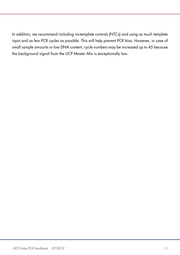In addition, we recommend including no-template controls (NTCs) and using as much template input and as few PCR cycles as possible. This will help prevent PCR bias. However, in case of small sample amounts or low DNA content, cycle numbers may be increased up to 45 because the background signal from the UCP Master Mix is exceptionally low.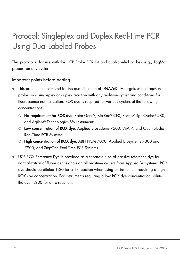# <span id="page-11-0"></span>Protocol: Singleplex and Duplex Real-Time PCR Using Dual-Labeled Probes

This protocol is for use with the UCP Probe PCR Kit and dual-labeled probes (e.g., TaqMan probes) on any cycler.

Important points before starting

- This protocol is optimized for the quantification of DNA/cDNA targets using TaqMan probes in a singleplex or duplex reaction with any real-time cycler and conditions for fluorescence normalization. ROX dye is required for various cyclers at the following concentrations:
	- O No requirement for ROX dye: Rotor-Gene®, Bio-Rad® CFX, Roche® LightCycler® 480, and Agilent® Technologies Mx instruments
	- Low concentration of ROX dye: Applied Biosystems 7500, ViiA 7, and QuantStudio Real-Time PCR Systems
	- O High concentration of ROX dye: ABI PRISM 7000, Applied Biosystems 7300 and 7900, and StepOne Real-Time PCR Systems
- UCP ROX Reference Dye is provided as a separate tube of passive reference dye for normalization of fluorescent signals on all real-time cyclers from Applied Biosystems. ROX dye should be diluted 1:20 for a 1x reaction when using an instrument requiring a high ROX dye concentration. For instruments requiring a low ROX dye concentration, dilute the dye 1:200 for a 1x reaction.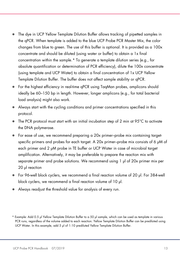- The dye in UCP Yellow Template Dilution Buffer allows tracking of pipetted samples in the qPCR. When template is added to the blue UCP Probe PCR Master Mix, the color changes from blue to green. The use of this buffer is optional. It is provided as a 100x concentrate and should be diluted (using water or buffer) to obtain a 1x final concentration within the sample.[\\*](#page-12-0) To generate a template dilution series (e.g., for absolute quantification or determination of PCR efficiency), dilute the 100x concentrate (using template and UCP Water) to obtain a final concentration of 1x UCP Yellow Template Dilution Buffer. The buffer does not affect sample stability or qPCR.
- For the highest efficiency in real-time qPCR using TaqMan probes, amplicons should ideally be 60–150 bp in length. However, longer amplicons (e.g., for total bacterial load analysis) might also work.
- Always start with the cycling conditions and primer concentrations specified in this protocol.
- The PCR protocol must start with an initial incubation step of 2 min at 95°C to activate the DNA polymerase.
- For ease of use, we recommend preparing a 20x primer–probe mix containing targetspecific primers and probes for each target. A 20x primer–probe mix consists of 6 μM of each primer and 2 μM probe in TE buffer or UCP Water in case of microbial target amplification. Alternatively, it may be preferable to prepare the reaction mix with separate primer and probe solutions. We recommend using 1 μl of 20x primer mix per 20 μl reaction
- For 96-well block cyclers, we recommend a final reaction volume of 20 µl. For 384-well block cyclers, we recommend a final reaction volume of 10 µl.
- Always readjust the threshold value for analysis of every run.

<span id="page-12-0"></span><sup>\*</sup> Example: Add 0.5 μl Yellow Template Dilution Buffer to a 50 μl sample, which can be used as template in various PCR runs, regardless of the volume added to each reaction. Yellow Template Dilution Buffer can be prediluted using UCP Water. In this example, add 5 μl of 1:10 prediluted Yellow Template Dilution Buffer.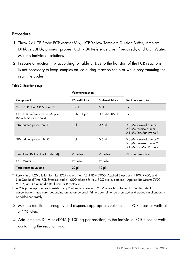### Procedure

- 1. Thaw 2x UCP Probe PCR Master Mix, UCP Yellow Template Dilution Buffer, template DNA or cDNA, primers, probes, UCP ROX Reference Dye (if required), and UCP Water. Mix the individual solutions.
- 2. Prepare a reaction mix according to [Table 3.](#page-13-0) Due to the hot start of the PCR reactions, it is not necessary to keep samples on ice during reaction setup or while programming the real-time cycler.

|                                                           | Volume/reaction                 |                   |                                                                                  |
|-----------------------------------------------------------|---------------------------------|-------------------|----------------------------------------------------------------------------------|
| Component                                                 | 96-well block                   | 384-well block    | <b>Final concentration</b>                                                       |
| 2x UCP Probe PCR Master Mix                               | $10 \mu$                        | $5 \mu$           | 1x                                                                               |
| UCP ROX Reference Dye (Applied<br>Biosystems cycler only) | $1 \mu$ /0.1 $\mu$ <sup>*</sup> | $0.5$ µl/0.05 µl* | 1x                                                                               |
| 20x primer-probe mix $1^{\dagger}$                        | $1 \mu$                         | $0.5$ pl          | 0.3 µM forward primer 1<br>0.3 µM reverse primer 1<br>0.1 µM TaqMan Probe 1      |
| $20x$ primer-probe mix $2†$                               | 1 µl                            | $0.5$ pl          | 0.3 $\mu$ M forward primer 2<br>0.3 µM reverse primer 2<br>0.1 µM TagMan Probe 2 |
| Template DNA (added at step 4)                            | Variable                        | Variable          | $\leq$ 100 ng/reaction                                                           |
| <b>UCP Water</b>                                          | Variable                        | Variable          |                                                                                  |
| <b>Total reaction volume</b>                              | $20 \mu$                        | $10 \mu$          |                                                                                  |

#### <span id="page-13-0"></span>Table 3. Reaction setup

Results in a 1:20 dilution for high ROX cyclers (i.e., ABI PRISM 7000, Applied Biosystems 7300, 7900, and StepOne Real-Time PCR Systems) and a 1:200 dilution for low ROX dye cyclers (i.e., Applied Biosystems 7500, ViiA 7, and QuantStudio Real-Time PCR Systems).

 $\pm$  A 20x primer–probe mix consists of 6 μM of each primer and 2 μM of each probe in UCP Water. Ideal concentrations may vary, depending on the assay used. Primers can either be premixed and added simultaneously or added separately.

- 3. Mix the reaction thoroughly and dispense appropriate volumes into PCR tubes or wells of a PCR plate.
- 4. Add template DNA or cDNA (≤100 ng per reaction) to the individual PCR tubes or wells containing the reaction mix.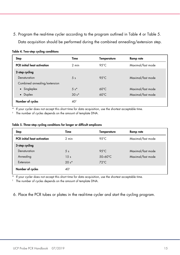5. Program the real-time cycler according to the program outlined in [Table 4](#page-14-0) or [Table 5.](#page-14-1) Data acquisition should be performed during the combined annealing/extension step.

| <b>Step</b>                        | Time            | Temperature    | Ramp rate         |
|------------------------------------|-----------------|----------------|-------------------|
| <b>PCR</b> initial heat activation | $2$ min         | 95 $°C$        | Maximal/fast mode |
| 2-step cycling                     |                 |                |                   |
| Denaturation                       | 5 <sub>s</sub>  | $95^{\circ}$ C | Maximal/fast mode |
| Combined annealing/extension       |                 |                |                   |
| • Singleplex                       | $5 s*$          | $60^{\circ}$ C | Maximal/fast mode |
| • Duplex                           | $30s*$          | $60^{\circ}$ C | Maximal/fast mode |
| Number of cycles                   | 40 <sup>†</sup> |                |                   |

#### <span id="page-14-0"></span>Table 4. Two-step cycling conditions

\* If your cycler does not accept this short time for data acquisition, use the shortest acceptable time.

† The number of cycles depends on the amount of template DNA.

#### <span id="page-14-1"></span>Table 5. Three-step cycling conditions for longer or difficult amplicons

| <b>Step</b>                        | Time            | <b>Temperature</b> | Ramp rate         |
|------------------------------------|-----------------|--------------------|-------------------|
| <b>PCR</b> initial heat activation | 2 min           | 95 $°C$            | Maximal/fast mode |
| 3-step cycling                     |                 |                    |                   |
| Denaturation                       | 5 <sub>s</sub>  | $95^{\circ}$ C     | Maximal/fast mode |
| Annealing                          | 15 <sub>s</sub> | $50-60^{\circ}$ C  | Maximal/fast mode |
| Extension                          | $20 s*$         | $72^{\circ}$ C     |                   |
| Number of cycles                   | 40 <sup>†</sup> |                    |                   |

If your cycler does not accept this short time for data acquisition, use the shortest acceptable time.

† The number of cycles depends on the amount of template DNA.

6. Place the PCR tubes or plates in the real-time cycler and start the cycling program.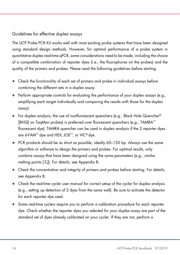### Guidelines for effective duplex assays

The UCP Probe PCR Kit works well with most existing probe systems that have been designed using standard design methods. However, for optimal performance of a probe system in quantitative duplex real-time qPCR, some considerations need to be made, including the choice of a compatible combination of reporter dyes (i.e., the fluorophores on the probes) and the quality of the primers and probes. Please read the following guidelines before starting.

- Check the functionality of each set of primers and probe in individual assays before combining the different sets in a duplex assay.
- $\bullet$  Perform appropriate controls for evaluating the performance of your duplex assays (e.g., amplifying each target individually and comparing the results with those for the duplex assay).
- $\bullet$  For duplex analysis, the use of nonfluorescent quenchers (e.g., Black Hole Quencher®) [BHQ] on TaqMan probes) is preferred over fluorescent quenchers (e.g., TAMRA™ fluorescent dye). TAMRA quencher can be used in duplex analysis if the 2 reporter dyes are 6-FAM™ dye and HEX, JOE™, or VIC® dye.
- PCR products should be as short as possible, ideally 60–150 bp. Always use the same algorithm or software to design the primers and probes. For optimal results, only combine assays that have been designed using the same parameters (e.g., similar melting points  $[T_m]$ ). For details, see Appendix B.
- Check the concentration and integrity of primers and probes before starting. For details, see Appendix B.
- Check the real-time cycler user manual for correct setup of the cycler for duplex analysis (e.g., setting up detection of 2 dyes from the same well). Be sure to activate the detector for each reporter dye used.
- Some real-time cyclers require you to perform a calibration procedure for each reporter dye. Check whether the reporter dyes you selected for your duplex assay are part of the standard set of dyes already calibrated on your cycler. If they are not, perform a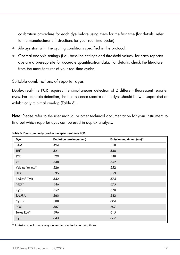calibration procedure for each dye before using them for the first time (for details, refer to the manufacturer's instructions for your real-time cycler).

- Always start with the cycling conditions specified in the protocol.
- Optimal analysis settings (i.e., baseline settings and threshold values) for each reporter dye are a prerequisite for accurate quantification data. For details, check the literature from the manufacturer of your real-time cycler.

### Suitable combinations of reporter dyes

Duplex real-time PCR requires the simultaneous detection of 2 different fluorescent reporter dyes. For accurate detection, the fluorescence spectra of the dyes should be well separated or exhibit only minimal overlap [\(Table 6\)](#page-16-0).

Note: Please refer to the user manual or other technical documentation for your instrument to find out which reporter dyes can be used in duplex analysis.

| <b>Excitation maximum (nm)</b> | Emission maximum (nm)* |
|--------------------------------|------------------------|
| 494                            | 518                    |
| 521                            | 538                    |
| 520                            | 548                    |
| 538                            | 552                    |
| 526                            | 552                    |
| 535                            | 553                    |
| 542                            | 574                    |
| 546                            | 575                    |
| 552                            | 570                    |
| 560                            | 582                    |
| 588                            | 604                    |
| 587                            | 607                    |
| 596                            | 615                    |
| 643                            | 667                    |
|                                |                        |

<span id="page-16-0"></span>Table 6. Dyes commonly used in multiplex real-time PCR

\* Emission spectra may vary depending on the buffer conditions.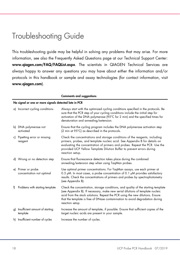# <span id="page-17-0"></span>Troubleshooting Guide

This troubleshooting guide may be helpful in solving any problems that may arise. For more information, see also the Frequently Asked Questions page at our Technical Support Center: www.qiagen.com/FAQ/FAQList.aspx. The scientists in QIAGEN Technical Services are always happy to answer any questions you may have about either the information and/or protocols in this handbook or sample and assay technologies (for contact information, visit www.qiagen.com).

|    |                                                       | <b>Comments and suggestions</b>                                                                                                                                                                                                                                                                                                                        |  |  |  |
|----|-------------------------------------------------------|--------------------------------------------------------------------------------------------------------------------------------------------------------------------------------------------------------------------------------------------------------------------------------------------------------------------------------------------------------|--|--|--|
|    | No signal or one or more signals detected late in PCR |                                                                                                                                                                                                                                                                                                                                                        |  |  |  |
|    | a) Incorrect cycling conditions                       | Always start with the optimized cycling conditions specified in the protocols. Be<br>sure that the PCR step of your cycling conditions include the initial step for<br>activation of the DNA polymerase (95°C for 2 min) and the specified times for<br>denaturation and annealing/extension.                                                          |  |  |  |
|    | b) DNA polymerase not<br>activated                    | Ensure that the cycling program includes the DNA polymerase activation step<br>(2 min at 95°C) as described in the protocols.                                                                                                                                                                                                                          |  |  |  |
|    | c) Pipetting error or missing<br>reagent              | Check the concentrations and storage conditions of the reagents, including<br>primers, probes, and template nucleic acid. See Appendix B for details on<br>evaluating the concentration of primers and probes. Repeat the PCR. Use the<br>provided UCP Yellow Template Dilution Buffer to prevent errors during<br>reaction setup.                     |  |  |  |
|    | d) Wrong or no detection step                         | Ensure that fluorescence detection takes place during the combined<br>annealing/extension step when using TaqMan probes.                                                                                                                                                                                                                               |  |  |  |
|    | e) Primer or probe<br>concentration not optimal       | Use optimal primer concentrations. For TaqMan assays, use each primer at<br>0.3 µM. In most cases, a probe concentration of 0.1 µM provides satisfactory<br>results. Check the concentrations of primers and probes by spectrophotometry<br>(see Appendix B).                                                                                          |  |  |  |
| f) | Problems with starting template                       | Check the concentration, storage conditions, and quality of the starting template<br>(see Appendix B). If necessary, make new serial dilutions of template nucleic<br>acid from the stock solutions. Repeat the PCR using the new dilutions. Ensure<br>that the template is free of DNase contamination to avoid degradation during<br>reaction setup. |  |  |  |
| g) | Insufficient amount of starting<br>template           | Increase the amount of template, if possible. Ensure that sufficient copies of the<br>target nucleic acids are present in your sample.                                                                                                                                                                                                                 |  |  |  |
|    | h) Insufficient number of cycles                      | Increase the number of cycles.                                                                                                                                                                                                                                                                                                                         |  |  |  |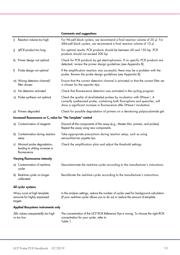|                                                                        |                                                                                 | <b>Comments and suggestions</b>                                                                                                                                                                                                |  |
|------------------------------------------------------------------------|---------------------------------------------------------------------------------|--------------------------------------------------------------------------------------------------------------------------------------------------------------------------------------------------------------------------------|--|
| i)                                                                     | Reaction volume too high                                                        | For 96-well block cyclers, we recommend a final reaction volume of 20 µl. For<br>384-well block cyclers, we recommend a final reaction volume of 10 µl.                                                                        |  |
| i)                                                                     | qPCR product too long                                                           | For optimal results, PCR products should be between 60 and 150 bp. PCR<br>products should not exceed 300 bp.                                                                                                                   |  |
| k)                                                                     | Primer design not optimal                                                       | Check for PCR products by gel electrophoresis. If no specific PCR products are<br>detected, review the primer design guidelines (see Appendix B).                                                                              |  |
| I)                                                                     | Probe design not optimal                                                        | If the amplification reaction was successful, there may be a problem with the<br>probe. Review the probe design guidelines (see Appendix B).                                                                                   |  |
|                                                                        | m) Wrong detection channel/<br>filter chosen                                    | Ensure that the correct detection channel is activated or that the correct filter set<br>is chosen for the reporter dye.                                                                                                       |  |
|                                                                        | n) No detection activated                                                       | Check that fluorescence detection was activated in the cycling program.                                                                                                                                                        |  |
|                                                                        | o) Probe synthesis not optimal                                                  | Check the quality of dual-labeled probes by incubation with DNase I. A<br>correctly synthesized probe, containing both fluorophore and quencher, will<br>show a significant increase in fluorescence after DNase I incubation. |  |
|                                                                        | p) Primers degraded                                                             | Check for possible degradation of primers on a denaturing polyacrylamide gel.                                                                                                                                                  |  |
|                                                                        | Increased fluorescence or C <sub>q</sub> value for "No Template" control        |                                                                                                                                                                                                                                |  |
|                                                                        | a) Contamination of reagents                                                    | Discard all the components of the assay (e.g., Master Mix, primers, and probes).<br>Repeat the assay using new components.                                                                                                     |  |
|                                                                        | b) Contamination during reaction<br>setup                                       | Take appropriate precautions during reaction setup, such as using<br>aerosol-barrier pipette tips.                                                                                                                             |  |
|                                                                        | c) Minimal probe degradation,<br>leading to sliding increase in<br>fluorescence | Check the amplification plots and adjust the threshold settings.                                                                                                                                                               |  |
|                                                                        | Varying fluorescence intensity                                                  |                                                                                                                                                                                                                                |  |
|                                                                        | a) Contamination of real-time<br>cycler                                         | Decontaminate the real-time cycler according to the manufacturer's instructions.                                                                                                                                               |  |
|                                                                        | b) Real-time cycler no longer<br>calibrated                                     | Recalibrate the real-time cycler according to the manufacturer's instructions.                                                                                                                                                 |  |
|                                                                        | All cycler systems                                                              |                                                                                                                                                                                                                                |  |
| Wavy curve at high template<br>amounts for highly expressed<br>targets |                                                                                 | In the analysis settings, reduce the number of cycles used for background calculation<br>(if your real-time cycler allows you to do so) or reduce the amount of template.                                                      |  |
| Applied Biosystems instruments only                                    |                                                                                 |                                                                                                                                                                                                                                |  |
|                                                                        | $\Delta$ Rn values unexpectedly too high<br>or too low                          | The concentration of the UCP ROX Reference Dye is wrong. To choose the right ROX<br>concentration for your cycler, refer to<br>Table 1.                                                                                        |  |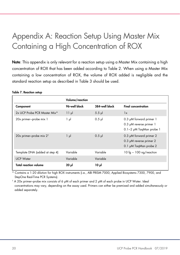# <span id="page-19-0"></span>Appendix A: Reaction Setup Using Master Mix Containing a High Concentration of ROX

Note: This appendix is only relevant for a reaction setup using a Master Mix containing a high concentration of ROX that has been added according to [Table 2.](#page-9-1) When using a Master Mix containing a low concentration of ROX, the volume of ROX added is negligible and the standard reaction setup as described in [Table 3](#page-13-0) should be used.

|                                     | Volume/reaction |                |                                                                               |
|-------------------------------------|-----------------|----------------|-------------------------------------------------------------------------------|
| Component                           | 96-well block   | 384-well block | <b>Final concentration</b>                                                    |
| 2x UCP Probe PCR Master Mix*        | $11 \mu$        | $5.5$ $\mu$    | 1x                                                                            |
| 20x primer-probe mix 1              | $1 \mu$         | $0.5$ $\mu$    | 0.3 µM forward primer 1<br>0.3 µM reverse primer 1<br>0.1-2 µM TaqMan probe 1 |
| 20x primer-probe mix 2 <sup>t</sup> | $1 \mu$         | $0.5$ $\mu$    | 0.3 µM forward primer 2<br>0.3 µM reverse primer 2<br>0.1 µM TaqMan probe 2   |
| Template DNA (added at step 4)      | Variable        | Variable       | 10 fg $-$ 100 ng/reaction                                                     |
| <b>UCP Water</b>                    | Variable        | Variable       |                                                                               |
| <b>Total reaction volume</b>        | $20$ $\mu$      | $10 \mu$       |                                                                               |

#### Table 7. Reaction setup

\* Contains a 1:20 dilution for high ROX instruments (i.e., ABI PRISM 7000, Applied Biosystems 7300, 7900, and StepOne Real-Time PCR Systems).

† A 20x primer–probe mix consists of 6 μM of each primer and 2 μM of each probe in UCP Water. Ideal concentrations may vary, depending on the assay used. Primers can either be premixed and added simultaneously or added separately.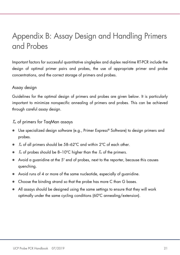# <span id="page-20-0"></span>Appendix B: Assay Design and Handling Primers and Probes

Important factors for successful quantitative singleplex and duplex real-time RT-PCR include the design of optimal primer pairs and probes, the use of appropriate primer and probe concentrations, and the correct storage of primers and probes.

### Assay design

Guidelines for the optimal design of primers and probes are given below. It is particularly important to minimize nonspecific annealing of primers and probes. This can be achieved through careful assay design.

### $T<sub>m</sub>$  of primers for TaqMan assays

- Use specialized design software (e.g., Primer Express® Software) to design primers and probes.
- $\bullet$   $\tau_{\text{m}}$  of all primers should be 58–62°C and within 2°C of each other.
- $\bullet$   $\tau_{\rm m}$  of probes should be 8–10°C higher than the  $\tau_{\rm m}$  of the primers.
- Avoid a guanidine at the 5' end of probes, next to the reporter, because this causes quenching.
- Avoid runs of 4 or more of the same nucleotide, especially of guanidine.
- Choose the binding strand so that the probe has more C than G bases.
- All assays should be designed using the same settings to ensure that they will work optimally under the same cycling conditions (60ºC annealing/extension).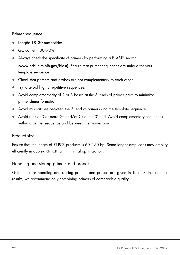### Primer sequence

- Length: 18–30 nucleotides
- GC content: 30–70%
- Always check the specificity of primers by performing a BLAST® search (www.ncbi.nlm.nih.gov/blast). Ensure that primer sequences are unique for your template sequence.
- Check that primers and probes are not complementary to each other.
- Try to avoid highly repetitive sequences.
- Avoid complementarity of 2 or 3 bases at the 3' ends of primer pairs to minimize primer-dimer formation.
- Avoid mismatches between the 3' end of primers and the template sequence.
- Avoid runs of 3 or more Gs and/or Cs at the 3' end. Avoid complementary sequences within a primer sequence and between the primer pair.

### Product size

Ensure that the length of RT-PCR products is 60–150 bp. Some longer amplicons may amplify efficiently in duplex RT-PCR, with minimal optimization.

### Handling and storing primers and probes

Guidelines for handling and storing primers and probes are given in Table 8. For optimal results, we recommend only combining primers of comparable quality.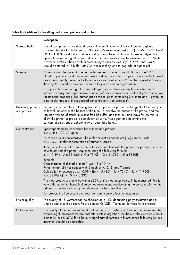Table 8. Guidelines for handling and storing primers and probes

|                                  | <b>Description</b>                                                                                                                                                                                                                                                                                                                                                                                                                                                                                                                                                                                                                                                                                                                                                                                                                                                                                                                                                                                                                                                                                                                                                                                               |
|----------------------------------|------------------------------------------------------------------------------------------------------------------------------------------------------------------------------------------------------------------------------------------------------------------------------------------------------------------------------------------------------------------------------------------------------------------------------------------------------------------------------------------------------------------------------------------------------------------------------------------------------------------------------------------------------------------------------------------------------------------------------------------------------------------------------------------------------------------------------------------------------------------------------------------------------------------------------------------------------------------------------------------------------------------------------------------------------------------------------------------------------------------------------------------------------------------------------------------------------------------|
| Storage buffer                   | Lyophilized primers should be dissolved in a small volume of low-salt buffer to give a<br>concentrated stock solution (e.g., 100 μM). We recommend using TE (10 mM Tris Cl, 1 mM<br>EDTA, pH 8.0) for standard primers and probes labeled with most fluorescent dyes. For<br>applications requiring ultraclean settings, oligonucleotides may be dissolved in UCP Water.<br>However, probes labeled with fluorescent dyes such as Cy3, Cy3.5, Cy5, and Cy5.5<br>should be stored in TE buffer, pH 7.0, because they tend to degrade at higher pH.                                                                                                                                                                                                                                                                                                                                                                                                                                                                                                                                                                                                                                                                |
| Storage                          | Primers should be stored in sterile, nuclease-free TE buffer in small aliquots at -20°C.<br>Standard primers are stable under these conditions for at least 1 year. Fluorescently labeled<br>probes are usually stable under these conditions for at least 6-9 months. Repeated freeze-<br>thaw cycles should be avoided, because they may lead to degradation.<br>For applications requiring ultraclean settings, oligonucleotides may be dissolved in UCP<br>Water. For easy and reproducible handling of primer–probe sets used in duplex assays, we<br>recommend preparing 20x primer–probe mixes, each containing 2 primers and 1 probe for<br>a particular target at the suggested concentrations (see protocols).                                                                                                                                                                                                                                                                                                                                                                                                                                                                                         |
| Dissolving primers<br>and probes | Before opening a tube containing lyophilized primer or probe, centrifuge the tube briefly to<br>collect all material at the bottom of the tube. To dissolve the primer or the probe, add the<br>required volume of sterile, nuclease-free TE buffer, and then mix and leave for 20 min to<br>allow the primer or probe to completely dissolve. Mix again and determine the<br>concentration by spectrophotometry as described below.                                                                                                                                                                                                                                                                                                                                                                                                                                                                                                                                                                                                                                                                                                                                                                             |
| Concentration                    | Spectrophotometric conversion for primers and probes:<br>1 $A_{260}$ unit = 20-30 $\mu$ g/ml<br>To check primer concentration, the molar extinction coefficient (£260) can be used:<br>$A_{260}$ = $\varepsilon_{260}$ x molar concentration of primer or probe<br>If the $\varepsilon_{260}$ value is not given on the data sheet supplied with the primers or probes, it can be<br>calculated from the primer sequence using the following formula:<br>$\epsilon_{260}$ = 0.89 x [(A x 15,480) + (C x 7340) + (G x 11,760) + (T x 8850)]<br>Example:<br>Concentration of diluted primer: $1 \mu M = 1 \times 10^{-6} M$<br>Primer length: 24 nucleotides with 6 each of A, C, G, and T bases<br>Calculation of expected $A_{260}$ : 0.89 x [(6 x 15,480) + (6 x 7340) + (6 x 11,760) +<br>$(6 \times 8850) \times (1 \times 10^{-6}) = 0.232$<br>The measured $A_{260}$ should be within ±30% of the theoretical value. If the measured $A_{260}$ is<br>very different to the theoretical value, we recommend recalculating the concentration of the<br>primers or probes or having the primers or probes resynthesized.<br>For probes, the fluorescent dye does not significantly affect the $A_{260}$ value. |
| Primer quality                   | The quality of 18-30mers can be checked on a 15% denaturing polyacrylamide gel; a<br>single band should be seen. Please contact QIAGEN Technical Services for a protocol.                                                                                                                                                                                                                                                                                                                                                                                                                                                                                                                                                                                                                                                                                                                                                                                                                                                                                                                                                                                                                                        |
| Probe quality                    | The quality of the fluorescent label and the purity of TaqMan probes can be determined by<br>comparing fluorescence before and after DNase digestion. Incubate probes with or without<br>5 units DNase at 37°C for 1 hour. A significant difference in fluorescence following DNase<br>treatment should be detectable.                                                                                                                                                                                                                                                                                                                                                                                                                                                                                                                                                                                                                                                                                                                                                                                                                                                                                           |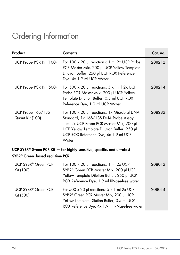# <span id="page-23-0"></span>Ordering Information

| Product                                      | <b>Contents</b>                                                                                                                                                                                                                  | Cat. no. |
|----------------------------------------------|----------------------------------------------------------------------------------------------------------------------------------------------------------------------------------------------------------------------------------|----------|
| UCP Probe PCR Kit (100)                      | For 100 x 20 µl reactions: 1 ml 2x UCP Probe<br>PCR Master Mix, 200 µl UCP Yellow Template<br>Dilution Buffer, 250 µl UCP ROX Reference<br>Dye, 4x 1.9 ml UCP Water                                                              | 208212   |
| UCP Probe PCR Kit (500)                      | For 500 $\times$ 20 µ reactions: $5 \times 1$ ml 2x UCP<br>Probe PCR Master Mix, 200 µl UCP Yellow<br>Template Dilution Buffer, 0.5 ml UCP ROX<br>Reference Dye, 1.9 ml UCP Water                                                | 208214   |
| UCP Probe 16S/18S<br>Quant Kit (100)         | For 100 x 20 µl reactions: 1x Microbial DNA<br>Standard, 1x 16S/18S DNA Probe Assay,<br>1 ml 2x UCP Probe PCR Master Mix, 200 µl<br>UCP Yellow Template Dilution Buffer, 250 µl<br>UCP ROX Reference Dye, 4x 1.9 ml UCP<br>Water | 208282   |
| SYBR® Green-based real-time PCR              | UCP SYBR <sup>®</sup> Green PCR Kit $-$ for highly sensitive, specific, and ultrafast                                                                                                                                            |          |
| UCP SYBR <sup>®</sup> Green PCR<br>Kit (100) | For $100 \times 20$ µ reactions: 1 ml $2 \times UCP$<br>SYBR® Green PCR Master Mix, 200 µl UCP<br>Yellow Template Dilution Buffer, 250 µl UCP<br>ROX Reference Dye, 1.9 ml RNase-free water                                      | 208012   |
| UCP SYBR <sup>®</sup> Green PCR<br>Kit (500) | For 500 $\times$ 20 µ reactions: $5 \times 1$ ml 2x UCP<br>SYBR® Green PCR Master Mix, 200 µl UCP<br>Yellow Template Dilution Buffer, 0.5 ml UCP<br>ROX Reference Dye, 4x 1.9 ml RNase-free water                                | 208014   |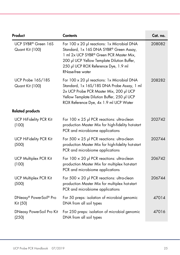| Product                                | <b>Contents</b>                                                                                                                                                                                                                              | Cat. no. |
|----------------------------------------|----------------------------------------------------------------------------------------------------------------------------------------------------------------------------------------------------------------------------------------------|----------|
| UCP SYBR® Green 16S<br>Quant Kit (100) | For 100 x 20 µl reactions: 1x Microbial DNA<br>Standard, 1x 16S DNA SYBR® Green Assay,<br>1 ml 2x UCP SYBR® Green PCR Master Mix,<br>200 µl UCP Yellow Template Dilution Buffer,<br>250 µl UCP ROX Reference Dye, 1.9 ml<br>RNase-free water | 208082   |
| UCP Probe 16S/18S<br>Quant Kit (100)   | For 100 x 20 µl reactions: 1x Microbial DNA<br>Standard, 1x 16S/18S DNA Probe Assay, 1 ml<br>2x UCP Probe PCR Master Mix, 200 µl UCP<br>Yellow Template Dilution Buffer, 250 µl UCP<br>ROX Reference Dye, 4x 1.9 ml UCP Water                | 208282   |
| <b>Related products</b>                |                                                                                                                                                                                                                                              |          |
| <b>UCP HiFidelity PCR Kit</b><br>(100) | For $100 \times 25$ µl PCR reactions: ultra-clean<br>production Master Mix for high-fidelity hot-start<br>PCR and microbiome applications                                                                                                    | 202742   |
| <b>UCP HiFidelity PCR Kit</b><br>(500) | For 500 $\times$ 25 µl PCR reactions: ultra-clean<br>production Master Mix for high-fidelity hot-start<br>PCR and microbiome applications                                                                                                    | 202744   |
| <b>UCP Multiplex PCR Kit</b><br>(100)  | For $100 \times 20$ µl PCR reactions: ultra-clean<br>production Master Mix for multiplex hot-start<br>PCR and microbiome applications                                                                                                        | 206742   |
| <b>UCP Multiplex PCR Kit</b><br>(500)  | For 500 $\times$ 20 µl PCR reactions: ultra-clean<br>production Master Mix for multiplex hot-start<br>PCR and microbiome applications                                                                                                        | 206744   |
| DNeasy® PowerSoil® Pro<br>Kit (50)     | For 50 preps: isolation of microbial genomic<br>DNA from all soil types                                                                                                                                                                      | 47014    |
| DNeasy PowerSoil Pro Kit<br>(250)      | For 250 preps: isolation of microbial genomic<br>DNA from all soil types                                                                                                                                                                     | 47016    |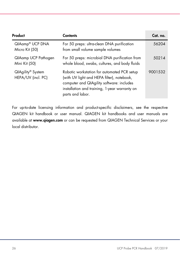| Product                                             | Contents                                                                                                                                                                                                    | Cat. no. |
|-----------------------------------------------------|-------------------------------------------------------------------------------------------------------------------------------------------------------------------------------------------------------------|----------|
| QIAamp® UCP DNA<br>Micro Kit (50)                   | For 50 preps: ultra-clean DNA purification<br>from small volume sample volumes                                                                                                                              | 56204    |
| QIAamp UCP Pathogen<br>Mini Kit (50)                | For 50 preps: microbial DNA purification from<br>whole blood, swabs, cultures, and body fluids                                                                                                              | 50214    |
| QIAgility <sup>®</sup> System<br>HEPA/UV (incl. PC) | Robotic workstation for automated PCR setup<br>(with UV light and HEPA filter), notebook,<br>computer and QIAgility software: includes<br>installation and training, 1-year warranty on<br>parts and labor. | 9001532  |

For up-to-date licensing information and product-specific disclaimers, see the respective QIAGEN kit handbook or user manual. QIAGEN kit handbooks and user manuals are available at www.qiagen.com or can be requested from QIAGEN Technical Services or your local distributor.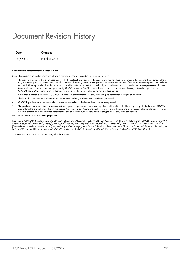## <span id="page-26-0"></span>Document Revision History

| Date    | Changes         |
|---------|-----------------|
| 07/2019 | Initial release |

#### Limited License Agreement for UCP Probe PCR Kit

Use of this product signifies the agreement of any purchaser or user of the product to the following terms:

- 1. The product may be used solely in accordance with the protocols provided with the product and this handbook and for use with components contained in the kit only. QIAGEN grants no license under any of its intellectual property to use or incorporate the enclosed components of this kit with any components not included within this kit except as described in the protocols provided with the product, this handbook, and additional protocols available at www.qiagen.com. Some of these additional protocols have been provided by QIAGEN users for QIAGEN users. These protocols have not been thoroughly tested or optimized by QIAGEN. QIAGEN neither guarantees them nor warrants that they do not infringe the rights of third-parties.
- 2. Other than expressly stated licenses, QIAGEN makes no warranty that this kit and/or its use(s) do not infringe the rights of third-parties.
- 3. This kit and its components are licensed for one-time use and may not be reused, refurbished, or resold.
- 4. QIAGEN specifically disclaims any other licenses, expressed or implied other than those expressly stated.
- 5. The purchaser and user of the kit agree not to take or permit anyone else to take any steps that could lead to or facilitate any acts prohibited above. QIAGEN may enforce the prohibitions of this Limited License Agreement in any Court, and shall recover all its investigative and Court costs, including attorney fees, in any action to enforce this Limited License Agreement or any of its intellectual property rights relating to the kit and/or its components.

#### For updated license terms, see [www.qiagen.com](http://www.qiagen.com/)

Trademarks: QIAGEN®, Sample to insighi®, QIAamp®, QIAgility®, DNeasy®, PowerSoil®, QBond®, QuantiNova®, RNeasy®, RotorGene® (QIAGEN Group); 6-FAM™,<br>Applied Biosystems®, ABI PRISM®, Bodipy®, HEX™, JOE™, NED™, Primer Expres (Thermo Fisher Scientific or its subsidiaries); Agilent® (Agilent Technologies, Inc.); Bio-Rad® (Bio-Rad Laboratories, Inc.); Black Hole Quencher® (Biosearch Technologies, Inc.); BLAST® (National Library of Medicine); Cy® (GE Healthcare); Roche®, TaqMan®, LightCycler® (Roche Group); Yakima Yellow® (ELITech Group).

07/2019 HB-2666-001 © 2019 QIAGEN, all rights reserved.